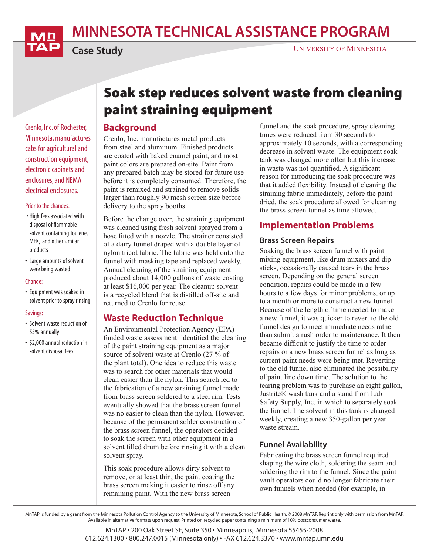MINNESOTA TECHNICAL ASSISTANCE PROGRAM



Case Study

Crenlo, Inc. of Rochester, Minnesota, manufactures cabs for agricultural and construction equipment, electronic cabinets and enclosures, and NEMA electrical enclosures.

#### Prior to the changes:

- High fees associated with disposal of flammable solvent containing Toulene, MEK, and other similar products
- Large amounts of solvent were being wasted

#### Change:

• Equipment was soaked in solvent prior to spray rinsing

#### Savings:

- Solvent waste reduction of 55% annually
- \$2,000 annual reduction in solvent disposal fees.

# Soak step reduces solvent waste from cleaning paint straining equipment

### **Background**

Crenlo, Inc. manufactures metal products from steel and aluminum. Finished products are coated with baked enamel paint, and most paint colors are prepared on-site. Paint from any prepared batch may be stored for future use before it is completely consumed. Therefore, the paint is remixed and strained to remove solids larger than roughly 90 mesh screen size before delivery to the spray booths.

Before the change over, the straining equipment was cleaned using fresh solvent sprayed from a hose fitted with a nozzle. The strainer consisted of a dairy funnel draped with a double layer of nylon tricot fabric. The fabric was held onto the funnel with masking tape and replaced weekly. Annual cleaning of the straining equipment produced about 14,000 gallons of waste costing at least \$16,000 per year. The cleanup solvent is a recycled blend that is distilled off-site and returned to Crenlo for reuse.

## Waste Reduction Technique

An Environmental Protection Agency (EPA) funded waste assessment<sup>1</sup> identified the cleaning of the paint straining equipment as a major source of solvent waste at Crenlo (27 % of the plant total). One idea to reduce this waste was to search for other materials that would clean easier than the nylon. This search led to the fabrication of a new straining funnel made from brass screen soldered to a steel rim. Tests eventually showed that the brass screen funnel was no easier to clean than the nylon. However, because of the permanent solder construction of the brass screen funnel, the operators decided to soak the screen with other equipment in a solvent filled drum before rinsing it with a clean solvent spray.

This soak procedure allows dirty solvent to remove, or at least thin, the paint coating the brass screen making it easier to rinse off any remaining paint. With the new brass screen

funnel and the soak procedure, spray cleaning times were reduced from 30 seconds to approximately 10 seconds, with a corresponding decrease in solvent waste. The equipment soak tank was changed more often but this increase in waste was not quantified. A significant reason for introducing the soak procedure was that it added flexibility. Instead of cleaning the straining fabric immediately, before the paint dried, the soak procedure allowed for cleaning the brass screen funnel as time allowed.

# Implementation Problems

#### Brass Screen Repairs

Soaking the brass screen funnel with paint mixing equipment, like drum mixers and dip sticks, occasionally caused tears in the brass screen. Depending on the general screen condition, repairs could be made in a few hours to a few days for minor problems, or up to a month or more to construct a new funnel. Because of the length of time needed to make a new funnel, it was quicker to revert to the old funnel design to meet immediate needs rather than submit a rush order to maintenance. It then became difficult to justify the time to order repairs or a new brass screen funnel as long as current paint needs were being met. Reverting to the old funnel also eliminated the possibility of paint line down time. The solution to the tearing problem was to purchase an eight gallon, Justrite® wash tank and a stand from Lab Safety Supply, Inc. in which to separately soak the funnel. The solvent in this tank is changed weekly, creating a new 350-gallon per year waste stream.

#### Funnel Availability

Fabricating the brass screen funnel required shaping the wire cloth, soldering the seam and soldering the rim to the funnel. Since the paint vault operators could no longer fabricate their own funnels when needed (for example, in

MnTAP is funded by a grant from the Minnesota Pollution Control Agency to the University of Minnesota, School of Public Health. © 2008 MnTAP. Reprint only with permission from MnTAP. Available in alternative formats upon request. Printed on recycled paper containing a minimum of 10% postconsumer waste.